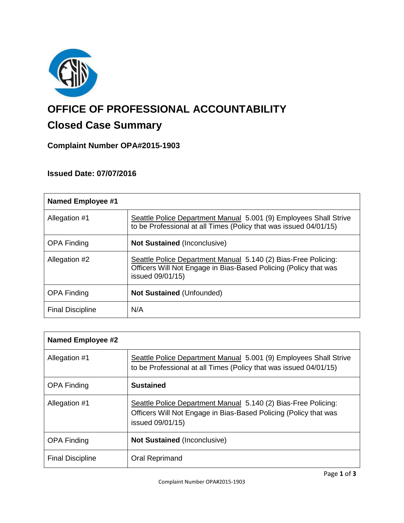

# **OFFICE OF PROFESSIONAL ACCOUNTABILITY**

# **Closed Case Summary**

**Complaint Number OPA#2015-1903**

# **Issued Date: 07/07/2016**

| <b>Named Employee #1</b> |                                                                                                                                                        |
|--------------------------|--------------------------------------------------------------------------------------------------------------------------------------------------------|
| Allegation #1            | Seattle Police Department Manual 5.001 (9) Employees Shall Strive<br>to be Professional at all Times (Policy that was issued 04/01/15)                 |
| <b>OPA Finding</b>       | <b>Not Sustained (Inconclusive)</b>                                                                                                                    |
| Allegation #2            | Seattle Police Department Manual 5.140 (2) Bias-Free Policing:<br>Officers Will Not Engage in Bias-Based Policing (Policy that was<br>issued 09/01/15) |
| <b>OPA Finding</b>       | <b>Not Sustained (Unfounded)</b>                                                                                                                       |
| <b>Final Discipline</b>  | N/A                                                                                                                                                    |

| <b>Named Employee #2</b> |                                                                                                                                                        |
|--------------------------|--------------------------------------------------------------------------------------------------------------------------------------------------------|
| Allegation #1            | Seattle Police Department Manual 5.001 (9) Employees Shall Strive<br>to be Professional at all Times (Policy that was issued 04/01/15)                 |
| <b>OPA Finding</b>       | <b>Sustained</b>                                                                                                                                       |
| Allegation #1            | Seattle Police Department Manual 5.140 (2) Bias-Free Policing:<br>Officers Will Not Engage in Bias-Based Policing (Policy that was<br>issued 09/01/15) |
| <b>OPA Finding</b>       | <b>Not Sustained (Inconclusive)</b>                                                                                                                    |
| <b>Final Discipline</b>  | Oral Reprimand                                                                                                                                         |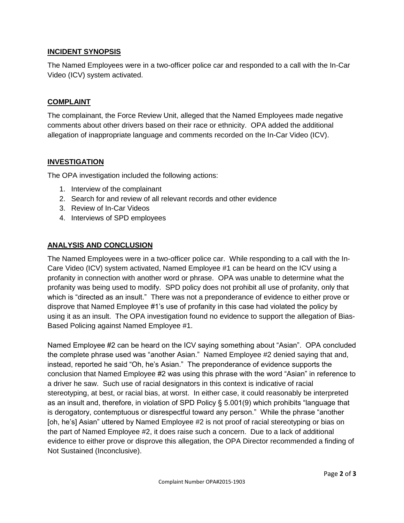# **INCIDENT SYNOPSIS**

The Named Employees were in a two-officer police car and responded to a call with the In-Car Video (ICV) system activated.

## **COMPLAINT**

The complainant, the Force Review Unit, alleged that the Named Employees made negative comments about other drivers based on their race or ethnicity. OPA added the additional allegation of inappropriate language and comments recorded on the In-Car Video (ICV).

# **INVESTIGATION**

The OPA investigation included the following actions:

- 1. Interview of the complainant
- 2. Search for and review of all relevant records and other evidence
- 3. Review of In-Car Videos
- 4. Interviews of SPD employees

# **ANALYSIS AND CONCLUSION**

The Named Employees were in a two-officer police car. While responding to a call with the In-Care Video (ICV) system activated, Named Employee #1 can be heard on the ICV using a profanity in connection with another word or phrase. OPA was unable to determine what the profanity was being used to modify. SPD policy does not prohibit all use of profanity, only that which is "directed as an insult." There was not a preponderance of evidence to either prove or disprove that Named Employee #1's use of profanity in this case had violated the policy by using it as an insult. The OPA investigation found no evidence to support the allegation of Bias-Based Policing against Named Employee #1.

Named Employee #2 can be heard on the ICV saying something about "Asian". OPA concluded the complete phrase used was "another Asian." Named Employee #2 denied saying that and, instead, reported he said "Oh, he's Asian." The preponderance of evidence supports the conclusion that Named Employee #2 was using this phrase with the word "Asian" in reference to a driver he saw. Such use of racial designators in this context is indicative of racial stereotyping, at best, or racial bias, at worst. In either case, it could reasonably be interpreted as an insult and, therefore, in violation of SPD Policy § 5.001(9) which prohibits "language that is derogatory, contemptuous or disrespectful toward any person." While the phrase "another [oh, he's] Asian" uttered by Named Employee #2 is not proof of racial stereotyping or bias on the part of Named Employee #2, it does raise such a concern. Due to a lack of additional evidence to either prove or disprove this allegation, the OPA Director recommended a finding of Not Sustained (Inconclusive).